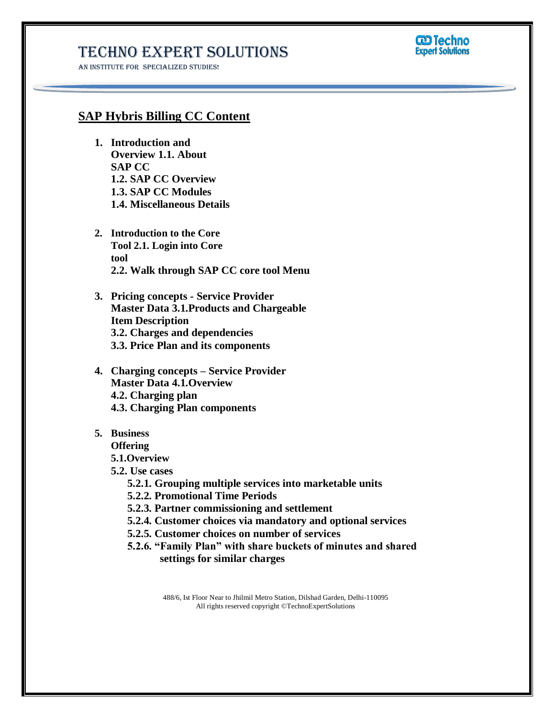## Techno Expert Solutions

AN INSTITUTE FOR SPECIALIZED STUDIES!



### **SAP Hybris Billing CC Content**

- **1. Introduction and Overview 1.1. About SAP CC 1.2. SAP CC Overview 1.3. SAP CC Modules 1.4. Miscellaneous Details**
- **2. Introduction to the Core Tool 2.1. Login into Core tool 2.2. Walk through SAP CC core tool Menu**
- **3. Pricing concepts - Service Provider Master Data 3.1.Products and Chargeable Item Description 3.2. Charges and dependencies 3.3. Price Plan and its components**
- **4. Charging concepts – Service Provider Master Data 4.1.Overview 4.2. Charging plan 4.3. Charging Plan components**
- **5. Business**

**Offering** 

**5.1.Overview**

- **5.2. Use cases**
	- **5.2.1. Grouping multiple services into marketable units**
	- **5.2.2. Promotional Time Periods**

**5.2.3. Partner commissioning and settlement**

- **5.2.4. Customer choices via mandatory and optional services**
- **5.2.5. Customer choices on number of services**
- **5.2.6. "Family Plan" with share buckets of minutes and shared settings for similar charges**

488/6, Ist Floor Near to Jhilmil Metro Station, Dilshad Garden, Delhi-110095 All rights reserved copyright ©TechnoExpertSolutions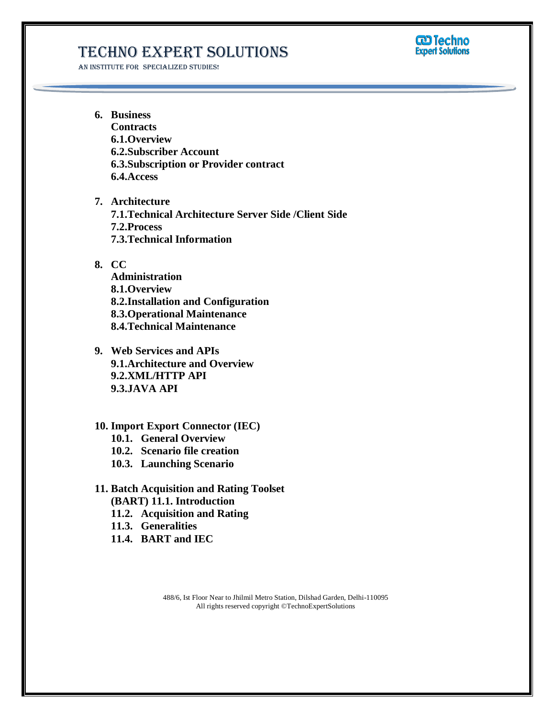## Techno Expert Solutions

AN INSTITUTE FOR SPECIALIZED STUDIES!



**6. Business Contracts 6.1.Overview 6.2.Subscriber Account 6.3.Subscription or Provider contract 6.4.Access**

**7. Architecture 7.1.Technical Architecture Server Side /Client Side 7.2.Process 7.3.Technical Information**

#### **8. CC**

**Administration 8.1.Overview 8.2.Installation and Configuration 8.3.Operational Maintenance 8.4.Technical Maintenance**

**9. Web Services and APIs 9.1.Architecture and Overview 9.2.XML/HTTP API 9.3.JAVA API**

#### **10. Import Export Connector (IEC)**

- **10.1. General Overview**
- **10.2. Scenario file creation**
- **10.3. Launching Scenario**

#### **11. Batch Acquisition and Rating Toolset (BART) 11.1. Introduction**

- **11.2. Acquisition and Rating**
- **11.3. Generalities**
- **11.4. BART and IEC**

488/6, Ist Floor Near to Jhilmil Metro Station, Dilshad Garden, Delhi-110095 All rights reserved copyright ©TechnoExpertSolutions